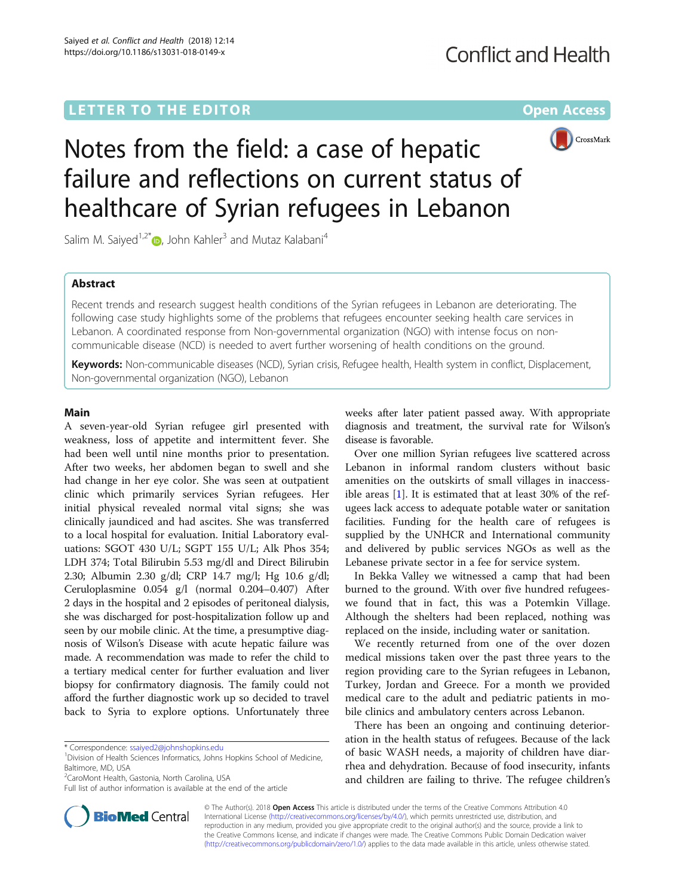## **LETTER TO THE EDITOR CONSIDERING ACCESS**



# Notes from the field: a case of hepatic failure and reflections on current status of healthcare of Syrian refugees in Lebanon

Salim M. Saiyed<sup>1[,](http://orcid.org/0000-0002-2326-5146)2\*</sup> $\bullet$ , John Kahler<sup>3</sup> and Mutaz Kalabani<sup>4</sup>

## Abstract

Recent trends and research suggest health conditions of the Syrian refugees in Lebanon are deteriorating. The following case study highlights some of the problems that refugees encounter seeking health care services in Lebanon. A coordinated response from Non-governmental organization (NGO) with intense focus on noncommunicable disease (NCD) is needed to avert further worsening of health conditions on the ground.

Keywords: Non-communicable diseases (NCD), Syrian crisis, Refugee health, Health system in conflict, Displacement, Non-governmental organization (NGO), Lebanon

### Main

A seven-year-old Syrian refugee girl presented with weakness, loss of appetite and intermittent fever. She had been well until nine months prior to presentation. After two weeks, her abdomen began to swell and she had change in her eye color. She was seen at outpatient clinic which primarily services Syrian refugees. Her initial physical revealed normal vital signs; she was clinically jaundiced and had ascites. She was transferred to a local hospital for evaluation. Initial Laboratory evaluations: SGOT 430 U/L; SGPT 155 U/L; Alk Phos 354; LDH 374; Total Bilirubin 5.53 mg/dl and Direct Bilirubin 2.30; Albumin 2.30 g/dl; CRP 14.7 mg/l; Hg 10.6 g/dl; Ceruloplasmine 0.054 g/l (normal 0.204–0.407) After 2 days in the hospital and 2 episodes of peritoneal dialysis, she was discharged for post-hospitalization follow up and seen by our mobile clinic. At the time, a presumptive diagnosis of Wilson's Disease with acute hepatic failure was made. A recommendation was made to refer the child to a tertiary medical center for further evaluation and liver biopsy for confirmatory diagnosis. The family could not afford the further diagnostic work up so decided to travel back to Syria to explore options. Unfortunately three

<sup>2</sup> CaroMont Health, Gastonia, North Carolina, USA



Over one million Syrian refugees live scattered across Lebanon in informal random clusters without basic amenities on the outskirts of small villages in inaccessible areas  $[1]$  $[1]$ . It is estimated that at least 30% of the refugees lack access to adequate potable water or sanitation facilities. Funding for the health care of refugees is supplied by the UNHCR and International community and delivered by public services NGOs as well as the Lebanese private sector in a fee for service system.

In Bekka Valley we witnessed a camp that had been burned to the ground. With over five hundred refugeeswe found that in fact, this was a Potemkin Village. Although the shelters had been replaced, nothing was replaced on the inside, including water or sanitation.

We recently returned from one of the over dozen medical missions taken over the past three years to the region providing care to the Syrian refugees in Lebanon, Turkey, Jordan and Greece. For a month we provided medical care to the adult and pediatric patients in mobile clinics and ambulatory centers across Lebanon.

There has been an ongoing and continuing deterioration in the health status of refugees. Because of the lack of basic WASH needs, a majority of children have diarrhea and dehydration. Because of food insecurity, infants and children are failing to thrive. The refugee children's



© The Author(s). 2018 Open Access This article is distributed under the terms of the Creative Commons Attribution 4.0 International License [\(http://creativecommons.org/licenses/by/4.0/](http://creativecommons.org/licenses/by/4.0/)), which permits unrestricted use, distribution, and reproduction in any medium, provided you give appropriate credit to the original author(s) and the source, provide a link to the Creative Commons license, and indicate if changes were made. The Creative Commons Public Domain Dedication waiver [\(http://creativecommons.org/publicdomain/zero/1.0/](http://creativecommons.org/publicdomain/zero/1.0/)) applies to the data made available in this article, unless otherwise stated.

<sup>\*</sup> Correspondence: [ssaiyed2@johnshopkins.edu](mailto:ssaiyed2@johnshopkins.edu) <sup>1</sup>

<sup>&</sup>lt;sup>1</sup>Division of Health Sciences Informatics, Johns Hopkins School of Medicine, Baltimore, MD, USA

Full list of author information is available at the end of the article